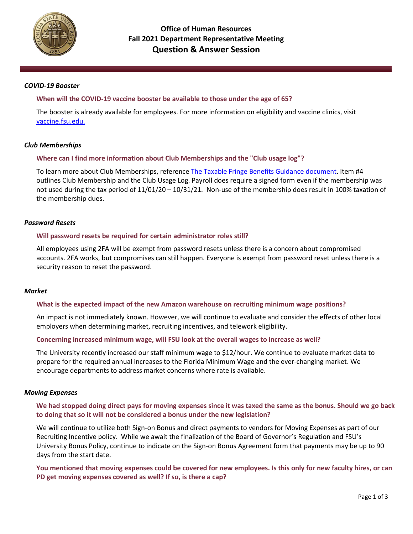

### *COVID-19 Booster*

## **When will the COVID-19 vaccine booster be available to those under the age of 65?**

The booster is already available for employees. For more information on eligibility and vaccine clinics, visit vaccine.fsu.edu.

## *Club Memberships*

## **Where can I find more information about Club Memberships and the "Club usage log"?**

To learn more about Club Memberships, reference The Taxable Fringe Benefits Guidance document. Item #4 outlines Club Membership and the Club Usage Log. Payroll does require a signed form even if the membership was not used during the tax period of 11/01/20 – 10/31/21. Non-use of the membership does result in 100% taxation of the membership dues.

## *Password Resets*

## **Will password resets be required for certain administrator roles still?**

All employees using 2FA will be exempt from password resets unless there is a concern about compromised accounts. 2FA works, but compromises can still happen. Everyone is exempt from password reset unless there is a security reason to reset the password.

### *Market*

### **What is the expected impact of the new Amazon warehouse on recruiting minimum wage positions?**

An impact is not immediately known. However, we will continue to evaluate and consider the effects of other local employers when determining market, recruiting incentives, and telework eligibility.

### **Concerning increased minimum wage, will FSU look at the overall wages to increase as well?**

The University recently increased our staff minimum wage to \$12/hour. We continue to evaluate market data to prepare for the required annual increases to the Florida Minimum Wage and the ever-changing market. We encourage departments to address market concerns where rate is available.

### *Moving Expenses*

# **We had stopped doing direct pays for moving expenses since it was taxed the same as the bonus. Should we go back to doing that so it will not be considered a bonus under the new legislation?**

We will continue to utilize both Sign-on Bonus and direct payments to vendors for Moving Expenses as part of our Recruiting Incentive policy. While we await the finalization of the Board of Governor's Regulation and FSU's University Bonus Policy, continue to indicate on the Sign-on Bonus Agreement form that payments may be up to 90 days from the start date.

**You mentioned that moving expenses could be covered for new employees. Is this only for new faculty hires, or can PD get moving expenses covered as well? If so, is there a cap?**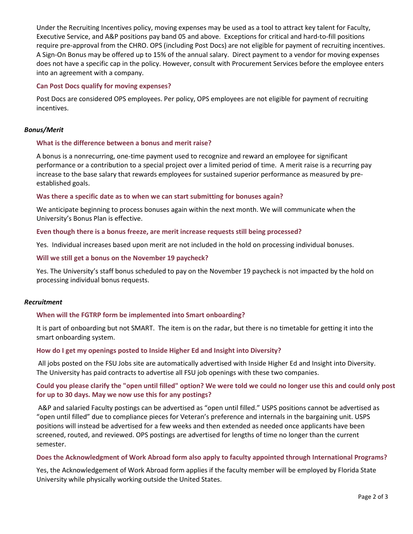Under the [Recruiting Incentives](https://policies.vpfa.fsu.edu/policies-and-procedures/faculty-staff/employment-recruitment#B12) policy, moving expenses may be used as a tool to attract key talent for Faculty, Executive Service, and A&P positions pay band 05 and above. Exceptions for critical and hard-to-fill positions require pre-approval from the CHRO. OPS (including Post Docs) are not eligible for payment of recruiting incentives. A Sign-On Bonus may be offered up to 15% of the annual salary. Direct payment to a vendor for moving expenses does not have a specific cap in the policy. However, consult with Procurement Services before the employee enters into an agreement with a company.

## **Can Post Docs qualify for moving expenses?**

Post Docs are considered OPS employees. Per policy, OPS employees are not eligible for payment of recruiting incentives.

## *Bonus/Merit*

## **What is the difference between a bonus and merit raise?**

A bonus is a nonrecurring, one-time payment used to recognize and reward an employee for significant performance or a contribution to a special project over a limited period of time. A merit raise is a recurring pay increase to the base salary that rewards employees for sustained superior performance as measured by preestablished goals.

### **Was there a specific date as to when we can start submitting for bonuses again?**

We anticipate beginning to process bonuses again within the next month. We will communicate when the University's Bonus Plan is effective.

### **Even though there is a bonus freeze, are merit increase requests still being processed?**

Yes. Individual increases based upon merit are not included in the hold on processing individual bonuses.

## **Will we still get a bonus on the November 19 paycheck?**

Yes. The University's staff bonus scheduled to pay on the November 19 paycheck is not impacted by the hold on processing individual bonus requests.

### *Recruitment*

# **When will the FGTRP form be implemented into Smart onboarding?**

It is part of onboarding but not SMART. The item is on the radar, but there is no timetable for getting it into the smart onboarding system.

### **How do I get my openings posted to Inside Higher Ed and Insight into Diversity?**

All jobs posted on the FSU Jobs site are automatically advertised with Inside Higher Ed and Insight into Diversity. The University has paid contracts to advertise all FSU job openings with these two companies.

# **Could you please clarify the "open until filled" option? We were told we could no longer use this and could only post for up to 30 days. May we now use this for any postings?**

A&P and salaried Faculty postings can be advertised as "open until filled." USPS positions cannot be advertised as "open until filled" due to compliance pieces for Veteran's preference and internals in the bargaining unit. USPS positions will instead be advertised for a few weeks and then extended as needed once applicants have been screened, routed, and reviewed. OPS postings are advertised for lengths of time no longer than the current semester.

### **Does the Acknowledgment of Work Abroad form also apply to faculty appointed through International Programs?**

Yes, the Acknowledgement of Work Abroad form applies if the faculty member will be employed by Florida State University while physically working outside the United States.